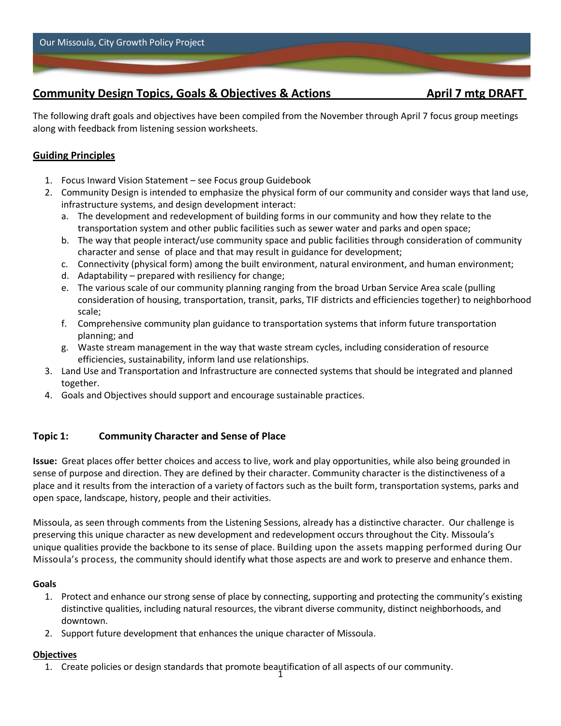# **Community Design Topics, Goals & Objectives & Actions April 7 mtg DRAFT**

The following draft goals and objectives have been compiled from the November through April 7 focus group meetings along with feedback from listening session worksheets.

## **Guiding Principles**

- 1. Focus Inward Vision Statement see Focus group Guidebook
- 2. Community Design is intended to emphasize the physical form of our community and consider ways that land use, infrastructure systems, and design development interact:
	- a. The development and redevelopment of building forms in our community and how they relate to the transportation system and other public facilities such as sewer water and parks and open space;
	- b. The way that people interact/use community space and public facilities through consideration of community character and sense of place and that may result in guidance for development;
	- c. Connectivity (physical form) among the built environment, natural environment, and human environment;
	- d. Adaptability prepared with resiliency for change;
	- e. The various scale of our community planning ranging from the broad Urban Service Area scale (pulling consideration of housing, transportation, transit, parks, TIF districts and efficiencies together) to neighborhood scale;
	- f. Comprehensive community plan guidance to transportation systems that inform future transportation planning; and
	- g. Waste stream management in the way that waste stream cycles, including consideration of resource efficiencies, sustainability, inform land use relationships.
- 3. Land Use and Transportation and Infrastructure are connected systems that should be integrated and planned together.
- 4. Goals and Objectives should support and encourage sustainable practices.

## **Topic 1: Community Character and Sense of Place**

**Issue:** Great places offer better choices and access to live, work and play opportunities, while also being grounded in sense of purpose and direction. They are defined by their character. Community character is the distinctiveness of a place and it results from the interaction of a variety of factors such as the built form, transportation systems, parks and open space, landscape, history, people and their activities.

Missoula, as seen through comments from the Listening Sessions, already has a distinctive character. Our challenge is preserving this unique character as new development and redevelopment occurs throughout the City. Missoula's unique qualities provide the backbone to its sense of place. Building upon the assets mapping performed during Our Missoula's process, the community should identify what those aspects are and work to preserve and enhance them.

## **Goals**

- 1. Protect and enhance our strong sense of place by connecting, supporting and protecting the community's existing distinctive qualities, including natural resources, the vibrant diverse community, distinct neighborhoods, and downtown.
- 2. Support future development that enhances the unique character of Missoula.

## **Objectives**

1 1. Create policies or design standards that promote beautification of all aspects of our community.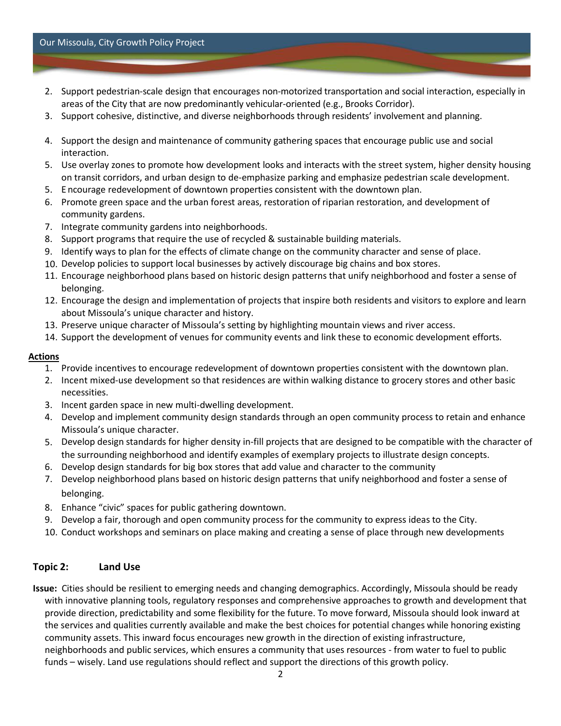#### Our Missoula, City Growth Policy Project

- 2. Support pedestrian-scale design that encourages non-motorized transportation and social interaction, especially in areas of the City that are now predominantly vehicular-oriented (e.g., Brooks Corridor).
- 3. Support cohesive, distinctive, and diverse neighborhoods through residents' involvement and planning.
- 4. Support the design and maintenance of community gathering spaces that encourage public use and social interaction.
- 5. Use overlay zones to promote how development looks and interacts with the street system, higher density housing on transit corridors, and urban design to de-emphasize parking and emphasize pedestrian scale development.
- 5. E ncourage redevelopment of downtown properties consistent with the downtown plan.
- 6. Promote green space and the urban forest areas, restoration of riparian restoration, and development of community gardens.
- 7. Integrate community gardens into neighborhoods.
- 8. Support programs that require the use of recycled & sustainable building materials.
- 9. Identify ways to plan for the effects of climate change on the community character and sense of place.
- 10. Develop policies to support local businesses by actively discourage big chains and box stores.
- 11. Encourage neighborhood plans based on historic design patterns that unify neighborhood and foster a sense of belonging.
- 12. Encourage the design and implementation of projects that inspire both residents and visitors to explore and learn about Missoula's unique character and history.
- 13. Preserve unique character of Missoula's setting by highlighting mountain views and river access.
- 14. Support the development of venues for community events and link these to economic development efforts.

#### **Actions**

- 1. Provide incentives to encourage redevelopment of downtown properties consistent with the downtown plan.
- 2. Incent mixed-use development so that residences are within walking distance to grocery stores and other basic necessities.
- 3. Incent garden space in new multi-dwelling development.
- 4. Develop and implement community design standards through an open community process to retain and enhance Missoula's unique character.
- 5. Develop design standards for higher density in-fill projects that are designed to be compatible with the character of the surrounding neighborhood and identify examples of exemplary projects to illustrate design concepts.
- 6. Develop design standards for big box stores that add value and character to the community
- 7. Develop neighborhood plans based on historic design patterns that unify neighborhood and foster a sense of belonging.
- 8. Enhance "civic" spaces for public gathering downtown.
- 9. Develop a fair, thorough and open community process for the community to express ideas to the City.
- 10. Conduct workshops and seminars on place making and creating a sense of place through new developments

## **Topic 2: Land Use**

**Issue:** Cities should be resilient to emerging needs and changing demographics. Accordingly, Missoula should be ready with innovative planning tools, regulatory responses and comprehensive approaches to growth and development that provide direction, predictability and some flexibility for the future. To move forward, Missoula should look inward at the services and qualities currently available and make the best choices for potential changes while honoring existing community assets. This inward focus encourages new growth in the direction of existing infrastructure, neighborhoods and public services, which ensures a community that uses resources - from water to fuel to public funds – wisely. Land use regulations should reflect and support the directions of this growth policy.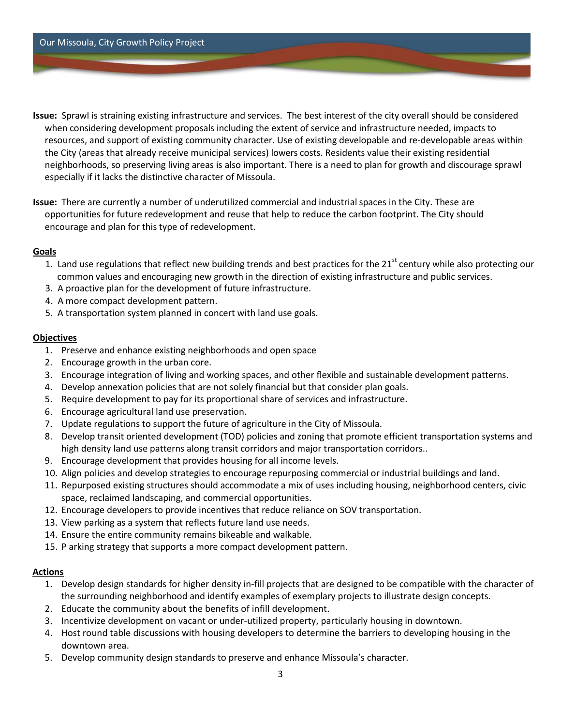Our Missoula, City Growth Policy Project

- **Issue:** Sprawl is straining existing infrastructure and services. The best interest of the city overall should be considered when considering development proposals including the extent of service and infrastructure needed, impacts to resources, and support of existing community character. Use of existing developable and re-developable areas within the City (areas that already receive municipal services) lowers costs. Residents value their existing residential neighborhoods, so preserving living areas is also important. There is a need to plan for growth and discourage sprawl especially if it lacks the distinctive character of Missoula.
- **Issue:** There are currently a number of underutilized commercial and industrial spaces in the City. These are opportunities for future redevelopment and reuse that help to reduce the carbon footprint. The City should encourage and plan for this type of redevelopment.

#### **Goals**

- 1. Land use regulations that reflect new building trends and best practices for the 21<sup>st</sup> century while also protecting our common values and encouraging new growth in the direction of existing infrastructure and public services.
- 3. A proactive plan for the development of future infrastructure.
- 4. A more compact development pattern.
- 5. A transportation system planned in concert with land use goals.

#### **Objectives**

- 1. Preserve and enhance existing neighborhoods and open space
- 2. Encourage growth in the urban core.
- 3. Encourage integration of living and working spaces, and other flexible and sustainable development patterns.
- 4. Develop annexation policies that are not solely financial but that consider plan goals.
- 5. Require development to pay for its proportional share of services and infrastructure.
- 6. Encourage agricultural land use preservation.
- 7. Update regulations to support the future of agriculture in the City of Missoula.
- 8. Develop transit oriented development (TOD) policies and zoning that promote efficient transportation systems and high density land use patterns along transit corridors and major transportation corridors..
- 9. Encourage development that provides housing for all income levels.
- 10. Align policies and develop strategies to encourage repurposing commercial or industrial buildings and land.
- 11. Repurposed existing structures should accommodate a mix of uses including housing, neighborhood centers, civic space, reclaimed landscaping, and commercial opportunities.
- 12. Encourage developers to provide incentives that reduce reliance on SOV transportation.
- 13. View parking as a system that reflects future land use needs.
- 14. Ensure the entire community remains bikeable and walkable.
- 15. P arking strategy that supports a more compact development pattern.

#### **Actions**

- 1. Develop design standards for higher density in-fill projects that are designed to be compatible with the character of the surrounding neighborhood and identify examples of exemplary projects to illustrate design concepts.
- 2. Educate the community about the benefits of infill development.
- 3. Incentivize development on vacant or under-utilized property, particularly housing in downtown.
- 4. Host round table discussions with housing developers to determine the barriers to developing housing in the downtown area.
- 5. Develop community design standards to preserve and enhance Missoula's character.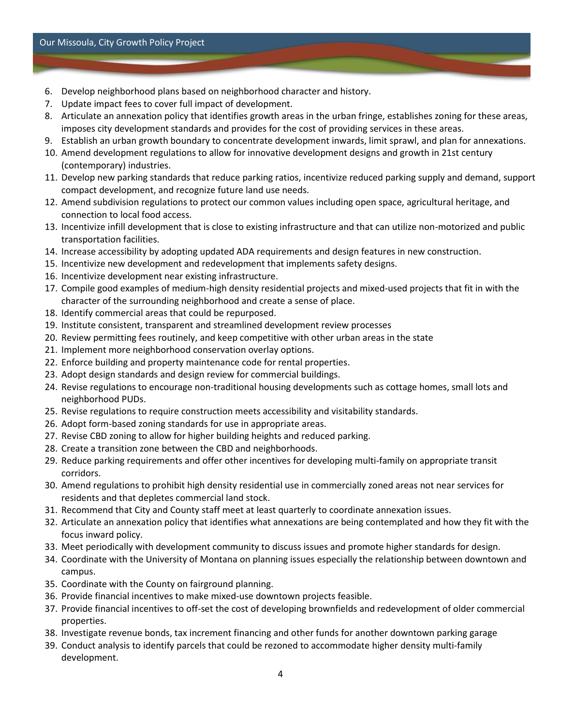- 6. Develop neighborhood plans based on neighborhood character and history.
- 7. Update impact fees to cover full impact of development.
- 8. Articulate an annexation policy that identifies growth areas in the urban fringe, establishes zoning for these areas, imposes city development standards and provides for the cost of providing services in these areas.
- 9. Establish an urban growth boundary to concentrate development inwards, limit sprawl, and plan for annexations.
- 10. Amend development regulations to allow for innovative development designs and growth in 21st century (contemporary) industries.
- 11. Develop new parking standards that reduce parking ratios, incentivize reduced parking supply and demand, support compact development, and recognize future land use needs.
- 12. Amend subdivision regulations to protect our common values including open space, agricultural heritage, and connection to local food access.
- 13. Incentivize infill development that is close to existing infrastructure and that can utilize non-motorized and public transportation facilities.
- 14. Increase accessibility by adopting updated ADA requirements and design features in new construction.
- 15. Incentivize new development and redevelopment that implements safety designs.
- 16. Incentivize development near existing infrastructure.
- 17. Compile good examples of medium-high density residential projects and mixed-used projects that fit in with the character of the surrounding neighborhood and create a sense of place.
- 18. Identify commercial areas that could be repurposed.
- 19. Institute consistent, transparent and streamlined development review processes
- 20. Review permitting fees routinely, and keep competitive with other urban areas in the state
- 21. Implement more neighborhood conservation overlay options.
- 22. Enforce building and property maintenance code for rental properties.
- 23. Adopt design standards and design review for commercial buildings.
- 24. Revise regulations to encourage non-traditional housing developments such as cottage homes, small lots and neighborhood PUDs.
- 25. Revise regulations to require construction meets accessibility and visitability standards.
- 26. Adopt form-based zoning standards for use in appropriate areas.
- 27. Revise CBD zoning to allow for higher building heights and reduced parking.
- 28. Create a transition zone between the CBD and neighborhoods.
- 29. Reduce parking requirements and offer other incentives for developing multi-family on appropriate transit corridors.
- 30. Amend regulations to prohibit high density residential use in commercially zoned areas not near services for residents and that depletes commercial land stock.
- 31. Recommend that City and County staff meet at least quarterly to coordinate annexation issues.
- 32. Articulate an annexation policy that identifies what annexations are being contemplated and how they fit with the focus inward policy.
- 33. Meet periodically with development community to discuss issues and promote higher standards for design.
- 34. Coordinate with the University of Montana on planning issues especially the relationship between downtown and campus.
- 35. Coordinate with the County on fairground planning.
- 36. Provide financial incentives to make mixed-use downtown projects feasible.
- 37. Provide financial incentives to off-set the cost of developing brownfields and redevelopment of older commercial properties.
- 38. Investigate revenue bonds, tax increment financing and other funds for another downtown parking garage
- 39. Conduct analysis to identify parcels that could be rezoned to accommodate higher density multi-family development.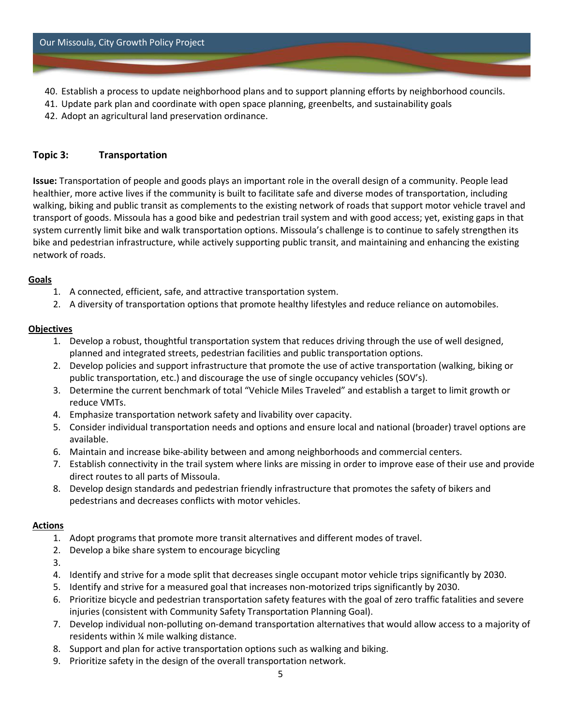- 40. Establish a process to update neighborhood plans and to support planning efforts by neighborhood councils.
- 41. Update park plan and coordinate with open space planning, greenbelts, and sustainability goals
- 42. Adopt an agricultural land preservation ordinance.

#### **Topic 3: Transportation**

**Issue:** Transportation of people and goods plays an important role in the overall design of a community. People lead healthier, more active lives if the community is built to facilitate safe and diverse modes of transportation, including walking, biking and public transit as complements to the existing network of roads that support motor vehicle travel and transport of goods. Missoula has a good bike and pedestrian trail system and with good access; yet, existing gaps in that system currently limit bike and walk transportation options. Missoula's challenge is to continue to safely strengthen its bike and pedestrian infrastructure, while actively supporting public transit, and maintaining and enhancing the existing network of roads.

#### **Goals**

- 1. A connected, efficient, safe, and attractive transportation system.
- 2. A diversity of transportation options that promote healthy lifestyles and reduce reliance on automobiles.

#### **Objectives**

- 1. Develop a robust, thoughtful transportation system that reduces driving through the use of well designed, planned and integrated streets, pedestrian facilities and public transportation options.
- 2. Develop policies and support infrastructure that promote the use of active transportation (walking, biking or public transportation, etc.) and discourage the use of single occupancy vehicles (SOV's).
- 3. Determine the current benchmark of total "Vehicle Miles Traveled" and establish a target to limit growth or reduce VMTs.
- 4. Emphasize transportation network safety and livability over capacity.
- 5. Consider individual transportation needs and options and ensure local and national (broader) travel options are available.
- 6. Maintain and increase bike-ability between and among neighborhoods and commercial centers.
- 7. Establish connectivity in the trail system where links are missing in order to improve ease of their use and provide direct routes to all parts of Missoula.
- 8. Develop design standards and pedestrian friendly infrastructure that promotes the safety of bikers and pedestrians and decreases conflicts with motor vehicles.

#### **Actions**

- 1. Adopt programs that promote more transit alternatives and different modes of travel.
- 2. Develop a bike share system to encourage bicycling
- 3.
- 4. Identify and strive for a mode split that decreases single occupant motor vehicle trips significantly by 2030.
- 5. Identify and strive for a measured goal that increases non-motorized trips significantly by 2030.
- 6. Prioritize bicycle and pedestrian transportation safety features with the goal of zero traffic fatalities and severe injuries (consistent with Community Safety Transportation Planning Goal).
- 7. Develop individual non-polluting on-demand transportation alternatives that would allow access to a majority of residents within ¼ mile walking distance.
- 8. Support and plan for active transportation options such as walking and biking.
- 9. Prioritize safety in the design of the overall transportation network.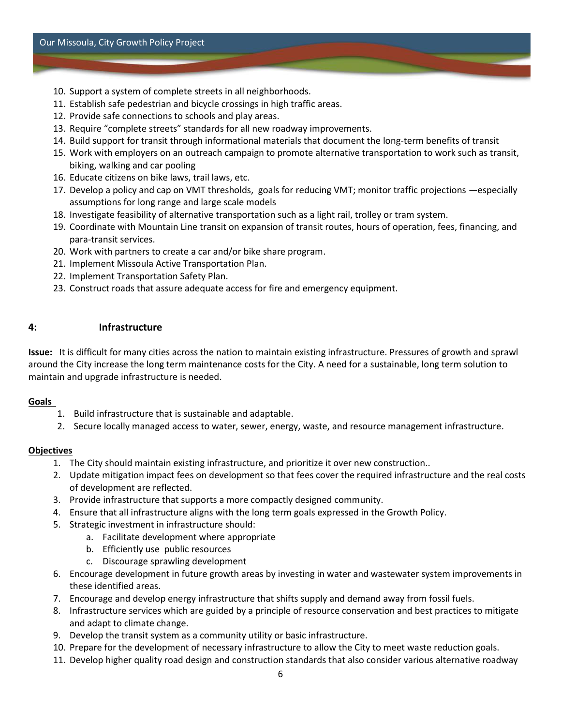- 10. Support a system of complete streets in all neighborhoods.
- 11. Establish safe pedestrian and bicycle crossings in high traffic areas.
- 12. Provide safe connections to schools and play areas.
- 13. Require "complete streets" standards for all new roadway improvements.
- 14. Build support for transit through informational materials that document the long-term benefits of transit
- 15. Work with employers on an outreach campaign to promote alternative transportation to work such as transit, biking, walking and car pooling
- 16. Educate citizens on bike laws, trail laws, etc.
- 17. Develop a policy and cap on VMT thresholds, goals for reducing VMT; monitor traffic projections —especially assumptions for long range and large scale models
- 18. Investigate feasibility of alternative transportation such as a light rail, trolley or tram system.
- 19. Coordinate with Mountain Line transit on expansion of transit routes, hours of operation, fees, financing, and para-transit services.
- 20. Work with partners to create a car and/or bike share program.
- 21. Implement Missoula Active Transportation Plan.
- 22. Implement Transportation Safety Plan.
- 23. Construct roads that assure adequate access for fire and emergency equipment.

## **4: Infrastructure**

**Issue:** It is difficult for many cities across the nation to maintain existing infrastructure. Pressures of growth and sprawl around the City increase the long term maintenance costs for the City. A need for a sustainable, long term solution to maintain and upgrade infrastructure is needed.

#### **Goals**

- 1. Build infrastructure that is sustainable and adaptable.
- 2. Secure locally managed access to water, sewer, energy, waste, and resource management infrastructure.

#### **Objectives**

- 1. The City should maintain existing infrastructure, and prioritize it over new construction..
- 2. Update mitigation impact fees on development so that fees cover the required infrastructure and the real costs of development are reflected.
- 3. Provide infrastructure that supports a more compactly designed community.
- 4. Ensure that all infrastructure aligns with the long term goals expressed in the Growth Policy.
- 5. Strategic investment in infrastructure should:
	- a. Facilitate development where appropriate
	- b. Efficiently use public resources
	- c. Discourage sprawling development
- 6. Encourage development in future growth areas by investing in water and wastewater system improvements in these identified areas.
- 7. Encourage and develop energy infrastructure that shifts supply and demand away from fossil fuels.
- 8. Infrastructure services which are guided by a principle of resource conservation and best practices to mitigate and adapt to climate change.
- 9. Develop the transit system as a community utility or basic infrastructure.
- 10. Prepare for the development of necessary infrastructure to allow the City to meet waste reduction goals.
- 11. Develop higher quality road design and construction standards that also consider various alternative roadway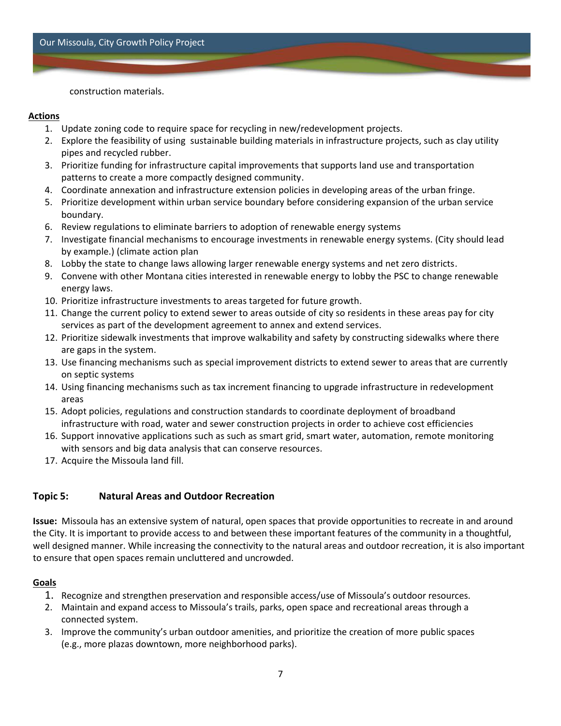Our Missoula, City Growth Policy Project

construction materials.

#### **Actions**

- 1. Update zoning code to require space for recycling in new/redevelopment projects.
- 2. Explore the feasibility of using sustainable building materials in infrastructure projects, such as clay utility pipes and recycled rubber.
- 3. Prioritize funding for infrastructure capital improvements that supports land use and transportation patterns to create a more compactly designed community.
- 4. Coordinate annexation and infrastructure extension policies in developing areas of the urban fringe.
- 5. Prioritize development within urban service boundary before considering expansion of the urban service boundary.
- 6. Review regulations to eliminate barriers to adoption of renewable energy systems
- 7. Investigate financial mechanisms to encourage investments in renewable energy systems. (City should lead by example.) (climate action plan
- 8. Lobby the state to change laws allowing larger renewable energy systems and net zero districts.
- 9. Convene with other Montana cities interested in renewable energy to lobby the PSC to change renewable energy laws.
- 10. Prioritize infrastructure investments to areas targeted for future growth.
- 11. Change the current policy to extend sewer to areas outside of city so residents in these areas pay for city services as part of the development agreement to annex and extend services.
- 12. Prioritize sidewalk investments that improve walkability and safety by constructing sidewalks where there are gaps in the system.
- 13. Use financing mechanisms such as special improvement districts to extend sewer to areas that are currently on septic systems
- 14. Using financing mechanisms such as tax increment financing to upgrade infrastructure in redevelopment areas
- 15. Adopt policies, regulations and construction standards to coordinate deployment of broadband infrastructure with road, water and sewer construction projects in order to achieve cost efficiencies
- 16. Support innovative applications such as such as smart grid, smart water, automation, remote monitoring with sensors and big data analysis that can conserve resources.
- 17. Acquire the Missoula land fill.

#### **Topic 5: Natural Areas and Outdoor Recreation**

**Issue:** Missoula has an extensive system of natural, open spaces that provide opportunities to recreate in and around the City. It is important to provide access to and between these important features of the community in a thoughtful, well designed manner. While increasing the connectivity to the natural areas and outdoor recreation, it is also important to ensure that open spaces remain uncluttered and uncrowded.

#### **Goals**

- 1. Recognize and strengthen preservation and responsible access/use of Missoula's outdoor resources.
- 2. Maintain and expand access to Missoula's trails, parks, open space and recreational areas through a connected system.
- 3. Improve the community's urban outdoor amenities, and prioritize the creation of more public spaces (e.g., more plazas downtown, more neighborhood parks).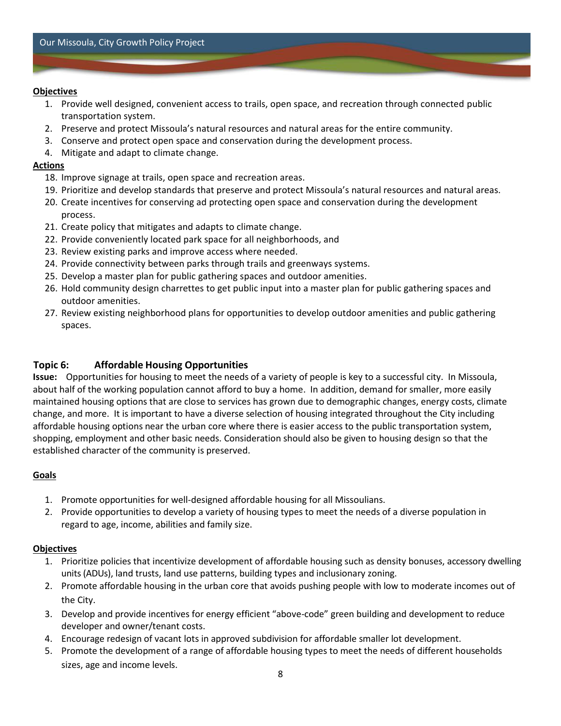#### **Objectives**

- 1. Provide well designed, convenient access to trails, open space, and recreation through connected public transportation system.
- 2. Preserve and protect Missoula's natural resources and natural areas for the entire community.
- 3. Conserve and protect open space and conservation during the development process.
- 4. Mitigate and adapt to climate change.

#### **Actions**

- 18. Improve signage at trails, open space and recreation areas.
- 19. Prioritize and develop standards that preserve and protect Missoula's natural resources and natural areas.
- 20. Create incentives for conserving ad protecting open space and conservation during the development process.
- 21. Create policy that mitigates and adapts to climate change.
- 22. Provide conveniently located park space for all neighborhoods, and
- 23. Review existing parks and improve access where needed.
- 24. Provide connectivity between parks through trails and greenways systems.
- 25. Develop a master plan for public gathering spaces and outdoor amenities.
- 26. Hold community design charrettes to get public input into a master plan for public gathering spaces and outdoor amenities.
- 27. Review existing neighborhood plans for opportunities to develop outdoor amenities and public gathering spaces.

## **Topic 6: Affordable Housing Opportunities**

**Issue:** Opportunities for housing to meet the needs of a variety of people is key to a successful city. In Missoula, about half of the working population cannot afford to buy a home. In addition, demand for smaller, more easily maintained housing options that are close to services has grown due to demographic changes, energy costs, climate change, and more. It is important to have a diverse selection of housing integrated throughout the City including affordable housing options near the urban core where there is easier access to the public transportation system, shopping, employment and other basic needs. Consideration should also be given to housing design so that the established character of the community is preserved.

## **Goals**

- 1. Promote opportunities for well-designed affordable housing for all Missoulians.
- 2. Provide opportunities to develop a variety of housing types to meet the needs of a diverse population in regard to age, income, abilities and family size.

#### **Objectives**

- 1. Prioritize policies that incentivize development of affordable housing such as density bonuses, accessory dwelling units (ADUs), land trusts, land use patterns, building types and inclusionary zoning.
- 2. Promote affordable housing in the urban core that avoids pushing people with low to moderate incomes out of the City.
- 3. Develop and provide incentives for energy efficient "above-code" green building and development to reduce developer and owner/tenant costs.
- 4. Encourage redesign of vacant lots in approved subdivision for affordable smaller lot development.
- 5. Promote the development of a range of affordable housing types to meet the needs of different households sizes, age and income levels.